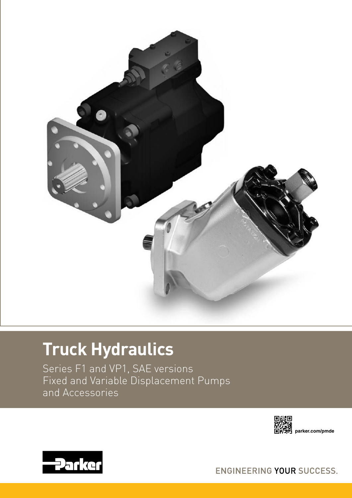

# **Truck Hydraulics**

Series F1 and VP1, SAE versions Fixed and Variable Displacement Pumps and Accessories





ENGINEERING YOUR SUCCESS.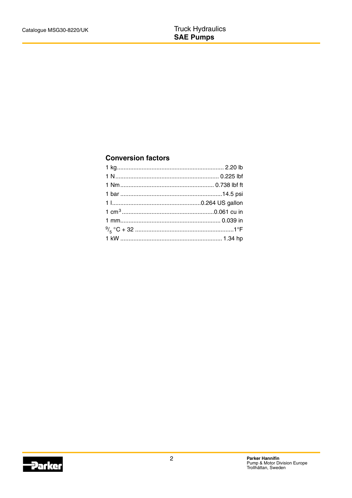# **Conversion factors**

**Parker**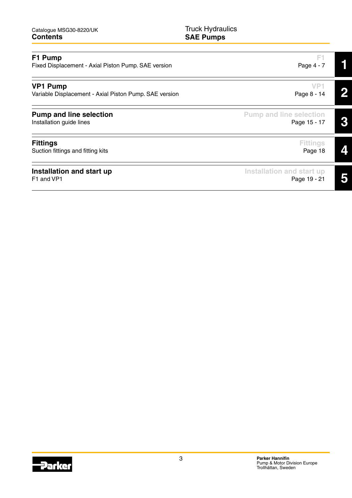| Catalogue MSG30-8220/UK |
|-------------------------|
| <b>Contents</b>         |

Truck Hydraulics **SAE Pumps**

| F1 Pump<br>Fixed Displacement - Axial Piston Pump. SAE version            | F1<br>Page 4 - 7                               |  |
|---------------------------------------------------------------------------|------------------------------------------------|--|
| <b>VP1 Pump</b><br>Variable Displacement - Axial Piston Pump. SAE version | VP.<br>Page 8 - 14                             |  |
| <b>Pump and line selection</b><br>Installation guide lines                | <b>Pump and line selection</b><br>Page 15 - 17 |  |
| <b>Fittings</b><br>Suction fittings and fitting kits                      | <b>Fittings</b><br>Page 18                     |  |
| Installation and start up<br>F1 and VP1                                   | Installation and start up<br>Page 19 - 21      |  |

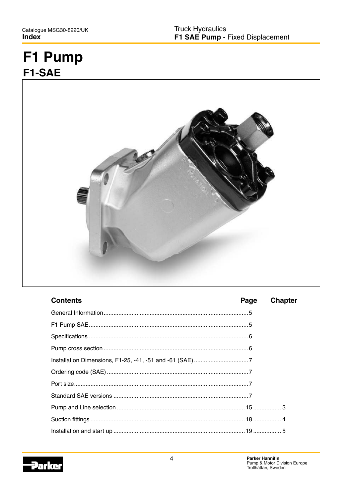# F1 Pump F1-SAE



| <b>Contents</b> | Page | <b>Chapter</b> |
|-----------------|------|----------------|
|                 |      |                |
|                 |      |                |
|                 |      |                |
|                 |      |                |
|                 |      |                |
|                 |      |                |
|                 |      |                |
|                 |      |                |
|                 |      |                |
|                 |      |                |
|                 |      |                |

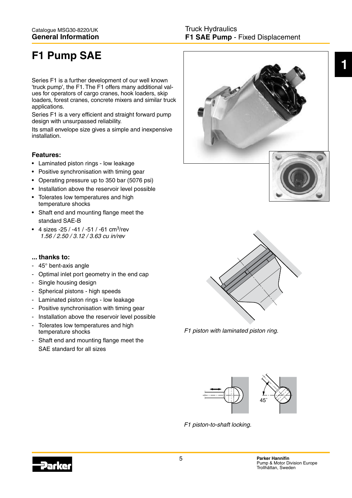# **F1 Pump SAE**

Series F1 is a further development of our well known 'truck pump', the F1. The F1 offers many additional values for operators of cargo cranes, hook loaders, skip loaders, forest cranes, concrete mixers and similar truck applications.

Series F1 is a very efficient and straight forward pump design with unsurpassed reliability.

Its small envelope size gives a simple and inexpensive installation.

# **Features:**

- Laminated piston rings low leakage
- Positive synchronisation with timing gear
- Operating pressure up to 350 bar (5076 psi)
- Installation above the reservoir level possible
- Tolerates low temperatures and high temperature shocks
- Shaft end and mounting flange meet the standard SAE-B
- 4 sizes -25 / -41 / -51 / -61 cm<sup>3</sup>/rev 1.56 / 2.50 / 3.12 / 3.63 cu in/rev

### **... thanks to:**

- 45° bent-axis angle
- Optimal inlet port geometry in the end cap
- Single housing design
- Spherical pistons high speeds
- Laminated piston rings low leakage
- Positive synchronisation with timing gear
- Installation above the reservoir level possible
- Tolerates low temperatures and high temperature shocks
- Shaft end and mounting flange meet the SAE standard for all sizes





F1 piston with laminated piston ring.



F1 piston-to-shaft locking.

**1**

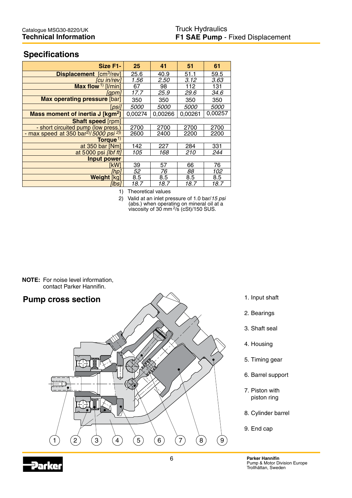# **Specifications**

| Size F1-                                                    | 25          | 41          | 51          | 61          |
|-------------------------------------------------------------|-------------|-------------|-------------|-------------|
| <b>Displacement</b> [cm <sup>3</sup> /rev]                  | 25.6        | 40.9        | 51.1        | 59.5        |
| [cu in/rev]                                                 | 1.56        | 2.50        | 3.12        | 3.63        |
| Max flow <sup>1)</sup> [ $ /$ min]                          | 67          | 98          | 112         | 131         |
| [apm]                                                       | 17.7        | 25.9        | 29.6        | 34.6        |
| Max operating pressure [bar]                                | 350         | 350         | 350         | 350         |
| psil                                                        | <i>5000</i> | <i>5000</i> | <i>5000</i> | <i>5000</i> |
| Mass moment of inertia J [kgm <sup>2</sup> ]                | 0,00274     | 0,00266     | 0,00261     | 0,00257     |
| Shaft speed [rpm]                                           |             |             |             |             |
| - short circuited pump (low press.)                         | 2700        | 2700        | 2700        | 2700        |
| - max speed at 350 bar <sup>2</sup> /5000 psi <sup>2)</sup> | 2600        | 2400        | 2200        | 2200        |
| Torque <sup>1)</sup>                                        |             |             |             |             |
| at 350 bar [Nm]                                             | 142         | 227         | 284         | 331         |
| at 5000 psi [lbf ft]                                        | 105         | 168         | 210         | 244         |
| <b>Input power</b>                                          |             |             |             |             |
| ikW1                                                        | 39          | 57          | 66          | 76          |
| [hp]                                                        | 52          | 76          | 88          | 102         |
| <b>Weight [kg]</b>                                          | 8.5         | 8.5         | 8.5         | 8.5         |
| [lbs]                                                       | 18.7        | 18.7        | 18.7        | 18.7        |

1) Theoretical values

2) Valid at an inlet pressure of 1.0 bar/15 psi (abs.) when operating on mineral oil at a viscosity of 30 mm $2/5$  (cSt)/150 SUS.

**NOTE:** For noise level information, contact Parker Hannifin.



- 1. Input shaft
- 2. Bearings
- 3. Shaft seal
- 4. Housing
- 5. Timing gear
- 6. Barrel support
- 7. Piston with piston ring
- 8. Cylinder barrel
- 9. End cap

6 **Parker Hannifin** Pump & Motor Division Europe Trollhättan, Sweden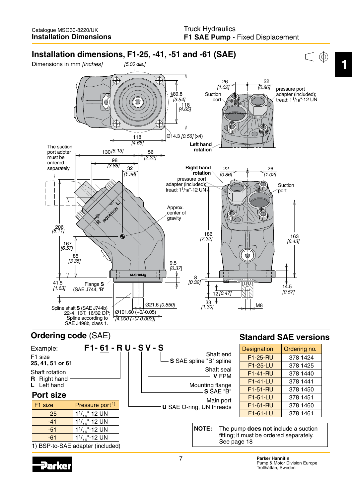

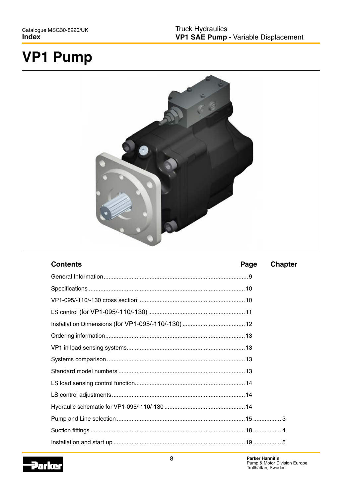# **VP1 Pump**



| <b>Contents</b> | Page | <b>Chapter</b> |
|-----------------|------|----------------|
|                 |      |                |
|                 |      |                |
|                 |      |                |
|                 |      |                |
|                 |      |                |
|                 |      |                |
|                 |      |                |
|                 |      |                |
|                 |      |                |
|                 |      |                |
|                 |      |                |
|                 |      |                |
|                 |      |                |
|                 |      |                |
|                 |      |                |

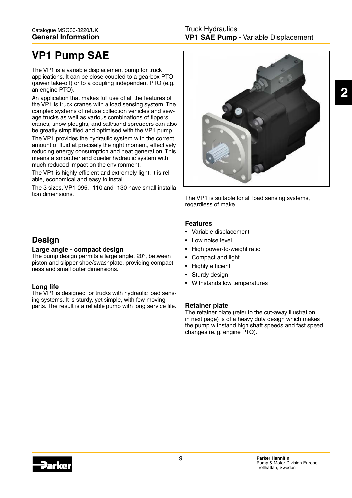# **VP1 Pump SAE**

The VP1 is a variable displacement pump for truck applications. It can be close-coupled to a gearbox PTO (power take-off) or to a coupling independent PTO (e.g. an engine PTO).

An application that makes full use of all the features of the VP1 is truck cranes with a load sensing system. The complex systems of refuse collection vehicles and sewage trucks as well as various combinations of tippers, cranes, snow ploughs, and salt/sand spreaders can also be greatly simplified and optimised with the VP1 pump.

The VP1 provides the hydraulic system with the correct amount of fluid at precisely the right moment, effectively reducing energy consumption and heat generation. This means a smoother and quieter hydraulic system with much reduced impact on the environment.

The VP1 is highly efficient and extremely light. It is reliable, economical and easy to install.

The 3 sizes, VP1-095, -110 and -130 have small installation dimensions. The VP1 is suitable for all load sensing systems,



regardless of make.

### **Features**

- Variable displacement
- Low noise level
- High power-to-weight ratio
- Compact and light
- Highly efficient
- Sturdy design
- Withstands low temperatures

### **Retainer plate**

The retainer plate (refer to the cut-away illustration in next page) is of a heavy duty design which makes the pump withstand high shaft speeds and fast speed changes.(e. g. engine PTO).

# **Design**

#### **Large angle - compact design**

The pump design permits a large angle, 20°, between piston and slipper shoe/swashplate, providing compactness and small outer dimensions.

### **Long life**

The VP1 is designed for trucks with hydraulic load sensing systems. It is sturdy, yet simple, with few moving parts. The result is a reliable pump with long service life.

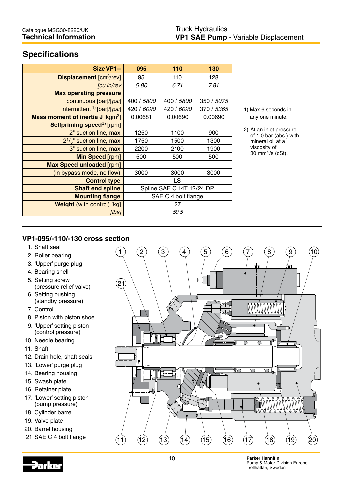# **Specifications**

| Size VP1--                                      | 095                       | 110        | 130        |
|-------------------------------------------------|---------------------------|------------|------------|
| <b>Displacement [cm<sup>3</sup>/rev]</b>        | 95                        | 110        | 128        |
| [cu in/rev                                      | 5.80                      | 6.71       | 7.81       |
| <b>Max operating pressure</b>                   |                           |            |            |
| continuous [bar]/[psi]                          | 400 / 5800                | 400 / 5800 | 350 / 5075 |
| intermittent <sup>1)</sup> [bar]/[ <i>psi</i> ] | 420 / 6090                | 420 / 6090 | 370 / 5365 |
| Mass moment of inertia $J$ [kgm <sup>2</sup> ]  | 0.00681                   | 0.00690    | 0.00690    |
| Selfpriming speed <sup>2)</sup> [rpm]           |                           |            |            |
| 2" suction line, max                            | 1250                      | 1100       | 900        |
| $2^{1/2}$ suction line, max                     | 1750                      | 1500       | 1300       |
| 3" suction line, max                            | 2200                      | 2100       | 1900       |
| Min Speed [rpm]                                 | 500                       | 500        | 500        |
| <b>Max Speed unloaded [rpm]</b>                 |                           |            |            |
| (in bypass mode, no flow)                       | 3000                      | 3000       | 3000       |
| <b>Control type</b>                             | <b>LS</b>                 |            |            |
| <b>Shaft end spline</b>                         | Spline SAE C 14T 12/24 DP |            |            |
| <b>Mounting flange</b>                          | SAE C 4 bolt flange       |            |            |
| <b>Weight (with control) [kg]</b>               | 27                        |            |            |
| [lbs]                                           | 59.5                      |            |            |

1) Max 6 seconds in any one minute.

2) At an inlet pressure of 1.0 bar (abs.) with mineral oil at a viscosity of 30 mm $^{2}/s$  (cSt).

# **VP1-095/-110/-130 cross section**

- 1. Shaft seal
- 2. Roller bearing
- 3. 'Upper' purge plug
- 4. Bearing shell
- 5. Setting screw (pressure relief valve)
- 6. Setting bushing (standby pressure)
- 7. Control
- 8. Piston with piston shoe
- 9. 'Upper' setting piston
- (control pressure)
- 10. Needle bearing
- 11. Shaft
- 12. Drain hole, shaft seals
- 13. 'Lower' purge plug
- 14. Bearing housing
- 15. Swash plate
- 16. Retainer plate
- 17. 'Lower' setting piston (pump pressure)
- 18. Cylinder barrel
- 19. Valve plate
- 20. Barrel housing
- 21 SAE C 4 bolt flange



10 **Parker Hannifin** Pump & Motor Division Europe Trollhättan, Sweden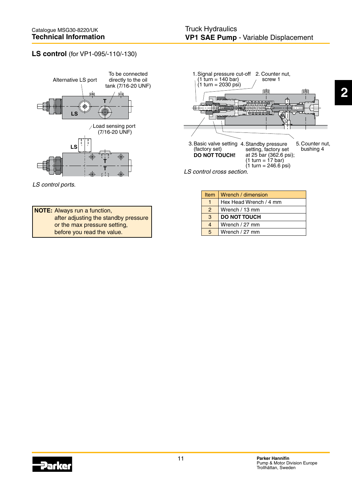# **LS control** (for VP1-095/-110/-130)



LS control ports.





LS control cross section.

| <b>Item</b>   | Wrench / dimension     |
|---------------|------------------------|
|               | Hex Head Wrench / 4 mm |
| $\mathcal{P}$ | Wrench / 13 mm         |
| 3             | <b>DO NOT TOUCH</b>    |
| 4             | Wrench / 27 mm         |
| 5             | Wrench / 27 mm         |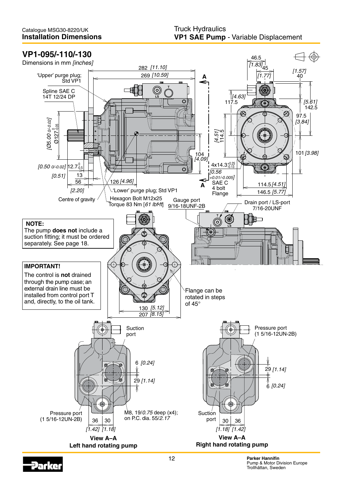# **VP1-095/-110/-130**

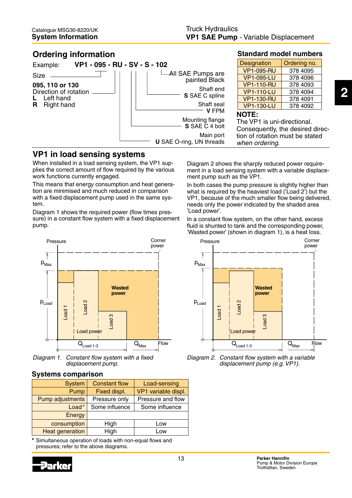# **Ordering information**



# **VP1 in load sensing systems**

When installed in a load sensing system, the VP1 supplies the correct amount of flow required by the various work functions currently engaged.

This means that energy consumption and heat generation are minimised and much reduced in comparison with a fixed displacement pump used in the same system.

Diagram 1 shows the required power (flow times pressure) in a constant flow system with a fixed displacement pump.



Diagram 1. Constant flow system with a fixed displacement pump.

### **Systems comparison**

| <b>System</b>           | <b>Constant flow</b> | Load-sensing        |
|-------------------------|----------------------|---------------------|
| Pump                    | Fixed displ.         | VP1 variable displ. |
| <b>Pump adjustments</b> | Pressure only        | Pressure and flow   |
| Load*                   | Some influence       | Some influence      |
| Energy                  |                      |                     |
| consumption             | High                 | Low                 |
| <b>Heat generation</b>  | High                 | Low                 |

\* Simultaneous operation of loads with non-equal flows and pressures; refer to the above diagrams.



**Standard model numbers**

| <b>Designation</b> | Ordering no. |
|--------------------|--------------|
| <b>VP1-095-RU</b>  | 378 4095     |
| <b>VP1-095-LU</b>  | 378 4096     |
| <b>VP1-110-RU</b>  | 378 4093     |
| <b>VP1-110-LU</b>  | 378 4094     |
| <b>VP1-130-RU</b>  | 378 4091     |
| <b>VP1-130-LU</b>  | 378 4092     |

Diagram 2 shows the sharply reduced power requirement in a load sensing system with a variable displacement pump such as the VP1.

In both cases the pump pressure is slightly higher than what is required by the heaviest load ('Load 2') but the VP1, because of the much smaller flow being delivered, needs only the power indicated by the shaded area 'Load power'.

In a constant flow system, on the other hand, excess fluid is shunted to tank and the corresponding power. 'Wasted power' (shown in diagram 1), is a heat loss.



Diagram 2. Constant flow system with a variable displacement pump (e.g. VP1).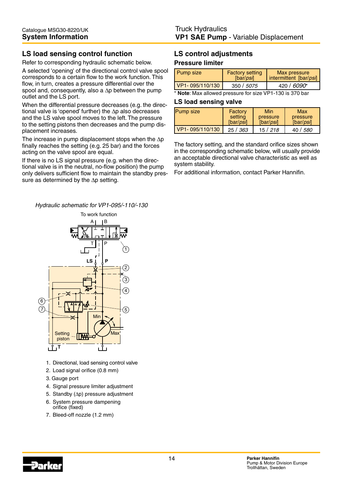# **LS load sensing control function**

Refer to corresponding hydraulic schematic below.

A selected 'opening' of the directional control valve spool corresponds to a certain flow to the work function. This flow, in turn, creates a pressure differential over the spool and, consequently, also a ∆p between the pump outlet and the LS port.

When the differential pressure decreases (e.g. the directional valve is 'opened' further) the ∆p also decreases and the LS valve spool moves to the left. The pressure to the setting pistons then decreases and the pump displacement increases.

The increase in pump displacement stops when the ∆p finally reaches the setting (e.g. 25 bar) and the forces acting on the valve spool are equal.

If there is no LS signal pressure (e.g. when the directional valve is in the neutral, no-flow position) the pump only delivers sufficient flow to maintain the standby pressure as determined by the ∆p setting.

Hydraulic schematic for VP1-095/-110/-130



- 1. Directional, load sensing control valve
- 2. Load signal orifice (0.8 mm)
- 3. Gauge port
- 4. Signal pressure limiter adjustment
- 5. Standby (∆p) pressure adjustment
- 6. System pressure dampening orifice (fixed)
- 7. Bleed-off nozzle (1.2 mm)

#### **LS control adjustments Pressure limiter**

| Pump size       | <b>Factory setting</b><br>[bar/psi] | Max pressure<br>intermittent [bar/psi] |
|-----------------|-------------------------------------|----------------------------------------|
| VP1-095/110/130 | 350 / 5075                          | 420 / 6090*                            |

\* **Note**: Max allowed pressure for size VP1-130 is 370 bar

#### **LS load sensing valve**

| <b>Pump size</b> | Factory   | Min           | Max           |
|------------------|-----------|---------------|---------------|
|                  | setting   | pressure      | pressure      |
|                  | [bar/psi] | [bar/ $psi$ ] | [bar/ $psi$ ] |
| VP1-095/110/130  | 25/363    | 15/218        | 40 / 580      |

The factory setting, and the standard orifice sizes shown in the corresponding schematic below, will usually provide an acceptable directional valve characteristic as well as system stability.

For additional information, contact Parker Hannifin.

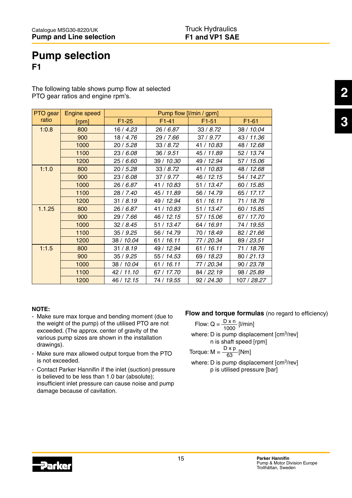# **Pump selection F1**

The following table shows pump flow at selected PTO gear ratios and engine rpm's.

| PTO gear | Engine speed | Pump flow [I/min / gpm] |            |            |             |
|----------|--------------|-------------------------|------------|------------|-------------|
| ratio    | [rpm]        | $F1-25$                 | $F1-41$    | $F1-51$    | $F1-61$     |
| 1:0.8    | 800          | 16 / 4.23               | 26 / 6.87  | 33/8.72    | 38 / 10.04  |
|          | 900          | 18 / 4.76               | 29 / 7.66  | 37/9.77    | 43 / 11.36  |
|          | 1000         | 20 / 5.28               | 33/8.72    | 41 / 10.83 | 48 / 12.68  |
|          | 1100         | 23 / 6.08               | 36 / 9.51  | 45 / 11.89 | 52 / 13.74  |
|          | 1200         | 25 / 6.60               | 39 / 10.30 | 49 / 12.94 | 57 / 15.06  |
| 1:1.0    | 800          | 20/5.28                 | 33/8.72    | 41 / 10.83 | 48 / 12.68  |
|          | 900          | 23 / 6.08               | 37/9.77    | 46 / 12.15 | 54 / 14.27  |
|          | 1000         | 26 / 6.87               | 41 / 10.83 | 51 / 13.47 | 60 / 15.85  |
|          | 1100         | 28 / 7.40               | 45 / 11.89 | 56 / 14.79 | 65 / 17.17  |
|          | 1200         | 31 / 8.19               | 49 / 12.94 | 61 / 16.11 | 71 / 18.76  |
| 1.1.25   | 800          | 26/6.87                 | 41 / 10.83 | 51 / 13.47 | 60 / 15.85  |
|          | 900          | 29 / 7.66               | 46 / 12.15 | 57 / 15.06 | 67 / 17.70  |
|          | 1000         | 32/8.45                 | 51 / 13.47 | 64 / 16.91 | 74 / 19.55  |
|          | 1100         | 35/9.25                 | 56 / 14.79 | 70 / 18.49 | 82 / 21.66  |
|          | 1200         | 38 / 10.04              | 61 / 16.11 | 77 / 20.34 | 89 / 23.51  |
| 1:1.5    | 800          | 31/8.19                 | 49 / 12.94 | 61 / 16.11 | 71 / 18.76  |
|          | 900          | 35/9.25                 | 55 / 14.53 | 69 / 18.23 | 80 / 21.13  |
|          | 1000         | 38 / 10.04              | 61 / 16.11 | 77 / 20.34 | 90 / 23.78  |
|          | 1100         | 42 / 11.10              | 67 / 17.70 | 84 / 22.19 | 98 / 25.89  |
|          | 1200         | 46 / 12.15              | 74 / 19.55 | 92 / 24.30 | 107 / 28.27 |

#### **NOTE:**

- Make sure max torque and bending moment (due to the weight of the pump) of the utilised PTO are not exceeded. (The approx. center of gravity of the various pump sizes are shown in the installation drawings).
- Make sure max allowed output torque from the PTO is not exceeded.
- Contact Parker Hannifin if the inlet (suction) pressure is believed to be less than 1.0 bar (absolute); insufficient inlet pressure can cause noise and pump damage because of cavitation.

### **Flow and torque formulas** (no regard to efficiency)

Flow: Q =  $\frac{D \times n}{1000}$  [l/min] where: D is pump displacement [cm<sup>3</sup>/rev] n is shaft speed [rpm] Torque:  $M = \frac{D \times p}{63}$  [Nm] 1000

where: D is pump displacement [cm<sup>3</sup>/rev] p is utilised pressure [bar] 63

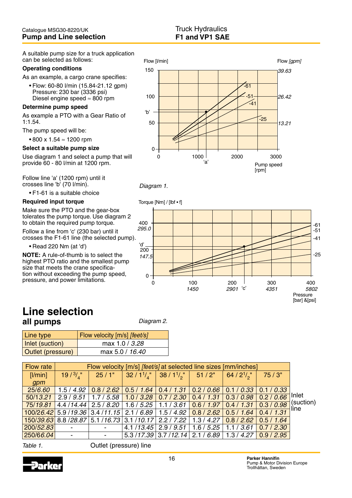A suitable pump size for a truck application can be selected as follows:

#### **Operating conditions**

As an example, a cargo crane specifies:

 •Flow:60-80l/min(15.84-21.12gpm) Pressure: 230 bar (3336 psi) Diesel engine speed ≈ 800 rpm

#### **Determine pump speed**

As example a PTO with a Gear Ratio of 1:1.54.

The pump speed will be:

•800x1.54≈ 1200 rpm

#### **Select a suitable pump size**

Use diagram 1 and select a pump that will provide 60 - 80 l/min at 1200 rpm.

Follow line 'a' (1200 rpm) until it crosses line 'b' (70 l/min).

• F1-61 is a suitable choice

#### **Required input torque**

Make sure the PTO and the gear-box tolerates the pump torque. Use diagram 2 to obtain the required pump torque.

Follow a line from 'c' (230 bar) until it crosses the F1-61 line (the selected pump).

•Read220Nm(at'd')

**NOTE:** A rule-of-thumb is to select the highest PTO ratio and the smallest pump size that meets the crane specification without exceeding the pump speed, pressure, and power limitations.







# **Line selection all pumps**

Diagram 2.

| Line type         | Flow velocity [m/s] [feet/s] |  |  |
|-------------------|------------------------------|--|--|
| Inlet (suction)   | max 1.0 / 3.28               |  |  |
| Outlet (pressure) | max 5.0 / 16.40              |  |  |

| <b>Flow rate</b> |                                                                                                   | Flow velocity [m/s] [feet/s] at selected line sizes [mm/inches] |                                                                                                                                              |                                                  |  |            |            |                   |
|------------------|---------------------------------------------------------------------------------------------------|-----------------------------------------------------------------|----------------------------------------------------------------------------------------------------------------------------------------------|--------------------------------------------------|--|------------|------------|-------------------|
| [1/min]          |                                                                                                   |                                                                 | $19/3/_{4}$ "   25/1"   32/1 <sup>1</sup> / <sub>4</sub> "   38/1 <sup>1</sup> / <sub>2</sub> "   51/2"   64/2 <sup>1</sup> / <sub>2</sub> " |                                                  |  |            | 75/3"      |                   |
| gpm              |                                                                                                   |                                                                 |                                                                                                                                              |                                                  |  |            |            |                   |
| 25/6.60          |                                                                                                   |                                                                 | $1.5/4.92$ $0.8/2.62$ $0.5/1.64$ $0.4/1.31$ $0.2/0.66$ $0.1/0.33$                                                                            |                                                  |  |            | 0.1 / 0.33 |                   |
| 50/13.21         |                                                                                                   |                                                                 | $2.9/9.51$   1.7 / 5.58   1.0 / 3.28   0.7 / 2.30   0.4 / 1.31   0.3 / 0.98   0.2 / 0.66                                                     |                                                  |  |            |            | Inlet             |
| 75/19.81         | 4.4 /14.44   2.5 / <i>8.20   1.6 / 5.25   1.1 / 3.61   <mark>0.6 / 1.97   0.4 / 1.31  </mark></i> |                                                                 |                                                                                                                                              |                                                  |  |            | 0.3 / 0.98 | (suction)<br>line |
|                  | $100/26.42$ 5.9 /19.36 3.4 /11.15 2.1 / 6.89 1.5 / 4.92 0.8 / 2.62 0.5 / 1.64 0.4 / 1.31          |                                                                 |                                                                                                                                              |                                                  |  |            |            |                   |
|                  | 150/39.63 8.8 /28.87 5.1 /16.73 3.1 /10.17 2.2 / 7.22 1.3 / 4.27 0.8 / 2.62 0.5 / 1.64            |                                                                 |                                                                                                                                              |                                                  |  |            |            |                   |
| 200/52.83        | $\blacksquare$                                                                                    |                                                                 |                                                                                                                                              | $4.1/13.45$   2.9 / 9.51   1.6 / 5.25            |  | 1.1 / 3.61 | 0.7/2.30   |                   |
| 250/66.04        | $\overline{\phantom{a}}$                                                                          |                                                                 |                                                                                                                                              | $5.3/17.39$ 3.7/12.14 2.1/6.89 1.3/4.27 0.9/2.95 |  |            |            |                   |

Table 1. Cutlet (pressure) line

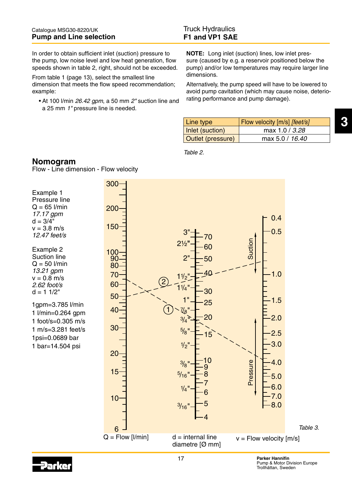In order to obtain sufficient inlet (suction) pressure to the pump, low noise level and low heat generation, flow speeds shown in table 2, right, should not be exceeded.

From table 1 (page 13), select the smallest line dimension that meets the flow speed recommendation; example:

• At 100 l/min 26.42 gpm, a 50 mm 2" suction line and a 25 mm 1" pressure line is needed.

**NOTE:** Long inlet (suction) lines, low inlet pressure (caused by e.g. a reservoir positioned below the pump) and/or low temperatures may require larger line dimensions.

Alternatively, the pump speed will have to be lowered to avoid pump cavitation (which may cause noise, deteriorating performance and pump damage).

| Line type         | Flow velocity [m/s] [feet/s] |
|-------------------|------------------------------|
| Inlet (suction)   | max 1.0 / 3.28               |
| Outlet (pressure) | max 5.0 / 16.40              |

Table 2.

# **Nomogram**

Flow - Line dimension - Flow velocity



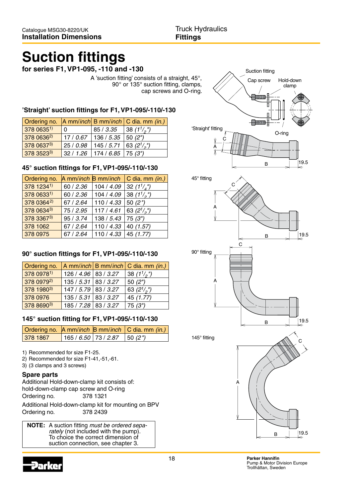# **Suction fittings**

**for series F1, VP1-095, -110 and -130**

A 'suction fitting' consists of a straight, 45°, 90° or 135° suction fitting, clamps, cap screws and O-ring.

# **'Straight' suction fittings for F1, VP1-095/-110/-130**

|                        |   |                                                  | Ordering no. A mm/inch B mm/inch C dia. mm (in.) |
|------------------------|---|--------------------------------------------------|--------------------------------------------------|
| 378 06351)             | 0 | $ 85/3.35 $ 38 (1 <sup>1</sup> / <sub>2</sub> ") |                                                  |
| 378 0636 <sup>2)</sup> |   | $17/0.67$   136 / 5.35   50 (2")                 |                                                  |
| 378 06373)             |   | 25 / 0.98   145 / 5.71   63 $(2^{1}/2)$          |                                                  |
| 378 35233)             |   | $32 / 1.26$   174 / 6.85   75 (3")               |                                                  |

# **45° suction fittings for F1, VP1-095/-110/-130**

| Ordering no. |           |                          | A mm/inch $\mathsf B$ mm/inch $\mathsf C$ dia. mm (in.) |
|--------------|-----------|--------------------------|---------------------------------------------------------|
| 378 12341)   | 60 / 2.36 | 104 / 4.09               | 32 $(1^{1}/_{4})^{1}$                                   |
| 378 06331)   | 60 / 2.36 | 104 / 4.09               | 38 $(1^{1}/_{2})^{n}$                                   |
| 378 03642)   | 67 / 2.64 | 110 / 4.33               | 50 $(2")$                                               |
| 378 06343)   | 75 / 2.95 | 117/4.61                 | 63 $(2^{1/2})$                                          |
| 378 33673)   | 95 / 3.74 | 138 / 5.43               | 75(3")                                                  |
| 378 1062     | 67 / 2.64 | 110 / 4.33               | 40 (1.57)                                               |
| 378 0975     | 67 / 2.64 | 110 / 4.33   45 $(1.77)$ |                                                         |

# **90° suction fittings for F1, VP1-095/-110/-130**

| Ordering no. |                        | A mm/inch $ B \text{ mm/inch}  C$ dia. mm (in.) |
|--------------|------------------------|-------------------------------------------------|
| 378 09781)   | 126 / 4.96   83 / 3.27 | 38 $(1^{1}/_{2})^{n}$                           |
| 378 09792)   | 135 / 5.31   83 / 3.27 | 50 $(2")$                                       |
| 378 19803)   | $147/5.79$ 83 / 3.27   | 63 $(2^{1/2})$                                  |
| 378 0976     | 135 / 5.31   83 / 3.27 | 45(1.77)                                        |
| 378 86903)   | 185 / 7.28   83 / 3.27 | 75(3")                                          |

# **145° suction fitting for F1, VP1-095/-110/-130**

|          |                                  | Ordering no. A mm/inch B mm/inch   C dia. mm (in.) |
|----------|----------------------------------|----------------------------------------------------|
| 378 1867 | 165 / 6.50   73 / 2.87   50 (2") |                                                    |

- 1) Recommended for size F1-25.
- 2) Recommended for size F1-41,-51,-61.
- 3) (3 clamps and 3 screws)

### **Spare parts**

Additional Hold-down-clamp kit consists of: hold-down-clamp cap screw and O-ring Ordering no. 378 1321

Additional Hold-down-clamp kit for mounting on BPV Ordering no. 378 2439

**NOTE:** A suction fitting must be ordered separately (not included with the pump). To choice the correct dimension of suction connection, see chapter 3.



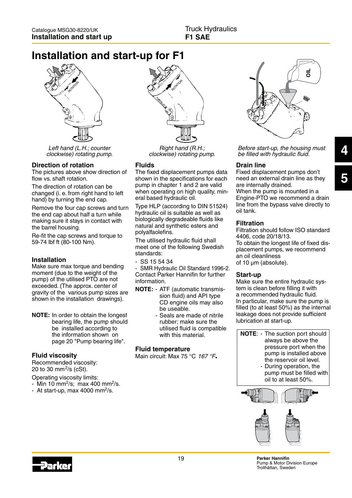# **Installation and start-up for F1**



Left hand (L.H.; counter clockwise) rotating pump.

#### **Direction of rotation**

The pictures above show direction of flow vs. shaft rotation.

The direction of rotation can be changed (i. e. from right hand to left hand) by turning the end cap.

Remove the four cap screws and turn the end cap about half a turn while making sure it stays in contact with the barrel housing.

Re-fit the cap screws and torque to 59-74 lbf ft (80-100 Nm).

#### **Installation**

Make sure max torque and bending moment (due to the weight of the pump) of the utilised PTO are not exceeded. (The approx. center of gravity of the various pump sizes are shown in the installation drawings).

**NOTE:** In order to obtain the longest bearing life, the pump should be installed according to the information shown on page 20 "Pump bearing life".

#### **Fluid viscosity**

Recommended viscosity: 20 to 30 mm<sup>2</sup>/s (cSt).

Operating viscosity limits:

- Min 10 mm<sup>2</sup>/s; max 400 mm<sup>2</sup>/s.
- At start-up, max 4000 mm<sup>2</sup>/s.



Right hand (R.H.; clockwise) rotating pump.

#### **Fluids**

The fixed displacement pumps data shown in the specifications for each pump in chapter 1 and 2 are valid when operating on high quality, mineral based hydraulic oil.

Type HLP (according to DIN 51524) hydraulic oil is suitable as well as biologically degradeable fluids like natural and synthetic esters and polyalfaolefins.

The utilised hydraulic fluid shall meet one of the following Swedish standards:

- SS 15 54 34

- SMR Hydraulic Oil Standard 1996-2. Contact Parker Hannifin for further information.

- **NOTE:** ATF (automatic transmis sion fluid) and API type CD engine oils may also be useable.
	- Seals are made of nitrile rubber; make sure the utilised fluid is compatible with this material.

#### **Fluid temperature**

Main circuit: Max 75 °C 167 °F.



Before start-up, the housing must be filled with hydraulic fluid.

#### **Drain line**

Fixed displacement pumps don't need an external drain line as they are internally drained. When the pump is mounted in a Engine-PTO we recommend a drain line from the bypass valve directly to oil tank.

#### **Filtration**

Filtration should follow ISO standard 4406, code 20/18/13. To obtain the longest life of fixed dis-

placement pumps, we recommend an oil cleanliness of 10 µm (absolute).

#### **Start-up**

Make sure the entire hydraulic system is clean before filling it with a recommended hydraulic fluid. In particular, make sure the pump is filled (to at least 50%) as the internal leakage does not provide sufficient lubrication at start-up.

**NOTE**: - The suction port should always be above the pressure port when the pump is installed above the reservoir oil level.

 - During operation, the pump must be filled with oil to at least 50%.



**Parker Hannifin** Pump & Motor Division Europe Trollhättan, Sweden

**4**

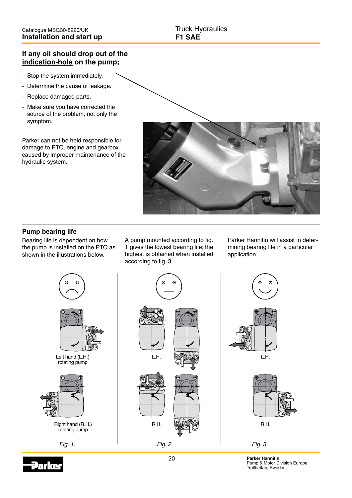# **If any oil should drop out of the indication-hole on the pump;**

- Stop the system immediately.
- Determine the cause of leakage.
- Replace damaged parts.
- Make sure you have corrected the source of the problem, not only the symptom.

Parker can not be held responsible for damage to PTO, engine and gearbox caused by improper maintenance of the hydraulic system.



# **Pump bearing life**

Bearing life is dependent on how the pump is installed on the PTO as shown in the illustrations below.

A pump mounted according to fig. 1 gives the lowest bearing life; the highest is obtained when installed according to fig. 3.

Parker Hannifin will assist in determining bearing life in a particular application.



 $L.H.$   $\Box$  $R.H.$   $R.H.$ Fig. 1. Fig. 2. Fig. 3.





20 **Parker Hannifin** Pump & Motor Division Europe Trollhättan, Sweden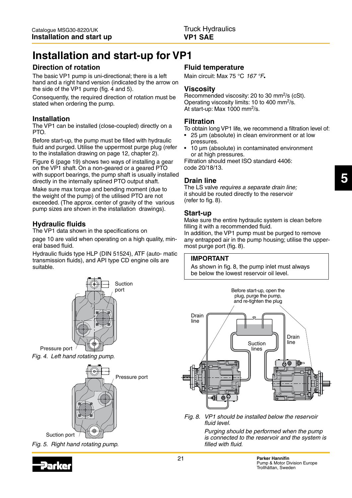# **Installation and start-up for VP1**

# **Direction of rotation**

The basic VP1 pump is uni-directional; there is a left hand and a right hand version (indicated by the arrow on the side of the VP1 pump (fig. 4 and 5).

Consequently, the required direction of rotation must be stated when ordering the pump.

# **Installation**

The VP1 can be installed (close-coupled) directly on a PTO.

Before start-up, the pump must be filled with hydraulic fluid and purged. Utilise the uppermost purge plug (refer to the installation drawing on page 12, chapter 2).

Figure 6 (page 19) shows two ways of installing a gear on the VP1 shaft. On a non-geared or a geared PTO with support bearings, the pump shaft is usually installed directly in the internally splined PTO output shaft.

Make sure max torque and bending moment (due to the weight of the pump) of the utilised PTO are not exceeded. (The approx. center of gravity of the various pump sizes are shown in the installation drawings).

# **Hydraulic fluids**

The VP1 data shown in the specifications on

page 10 are valid when operating on a high quality, mineral based fluid.

Hydraulic fluids type HLP (DIN 51524), ATF (auto- matic transmission fluids), and API type CD engine oils are suitable.



Fig. 4. Left hand rotating pump.







## **Fluid temperature**

Main circuit: Max 75 °C 167 °F.

## **Viscosity**

Recommended viscosity: 20 to 30 mm<sup>2</sup>/s (cSt). Operating viscosity limits: 10 to 400 mm<sup>2</sup>/s. At start-up: Max 1000 mm<sup>2</sup>/s.

# **Filtration**

To obtain long VP1 life, we recommend a filtration level of:

- 25  $\mu$ m (absolute) in clean environment or at low pressures.
- 10 µm (absolute) in contaminated environment or at high pressures.

Filtration should meet ISO standard 4406: code 20/18/13.

# **Drain line**

The LS valve requires a separate drain line; it should be routed directly to the reservoir (refer to fig. 8).

# **Start-up**

Make sure the entire hydraulic system is clean before filling it with a recommended fluid. In addition, the VP1 pump must be purged to remove any entrapped air in the pump housing; utilise the uppermost purge port (fig. 8).

### **IMPORTANT**

As shown in fig. 8, the pump inlet must always be below the lowest reservoir oil level.



Fig. 8. VP1 should be installed below the reservoir fluid level.

> Purging should be performed when the pump is connected to the reservoir and the system is filled with fluid.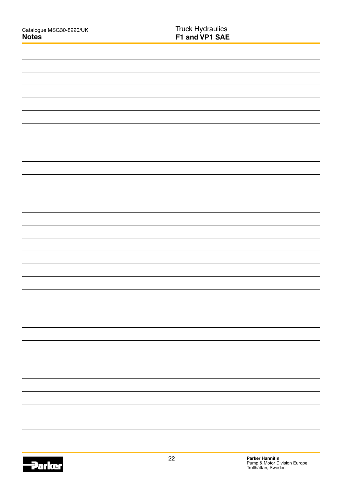|  | - |
|--|---|
|  | - |
|  | - |
|  |   |
|  |   |
|  | - |
|  |   |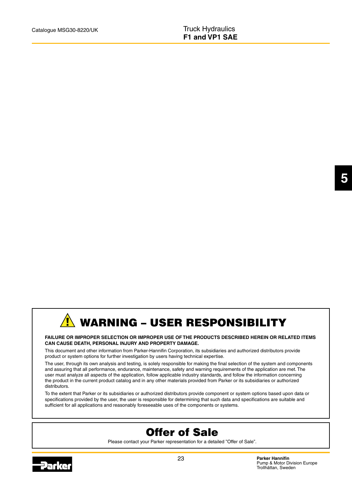# WARNING – USER RESPONSIBILITY

#### **FAILURE OR IMPROPER SELECTION OR IMPROPER USE OF THE PRODUCTS DESCRIBED HEREIN OR RELATED ITEMS CAN CAUSE DEATH, PERSONAL INJURY AND PROPERTY DAMAGE.**

This document and other information from Parker-Hannifin Corporation, its subsidiaries and authorized distributors provide product or system options for further investigation by users having technical expertise.

The user, through its own analysis and testing, is solely responsible for making the final selection of the system and components and assuring that all performance, endurance, maintenance, safety and warning requirements of the application are met. The user must analyze all aspects of the application, follow applicable industry standards, and follow the information concerning the product in the current product catalog and in any other materials provided from Parker or its subsidiaries or authorized distributors.

To the extent that Parker or its subsidiaries or authorized distributors provide component or system options based upon data or specifications provided by the user, the user is responsible for determining that such data and specifications are suitable and sufficient for all applications and reasonably foreseeable uses of the components or systems.

# Offer of Sale

Please contact your Parker representation for a detailed "Offer of Sale".



**Parker Hannifin** Pump & Motor Division Europe Trollhättan, Sweden